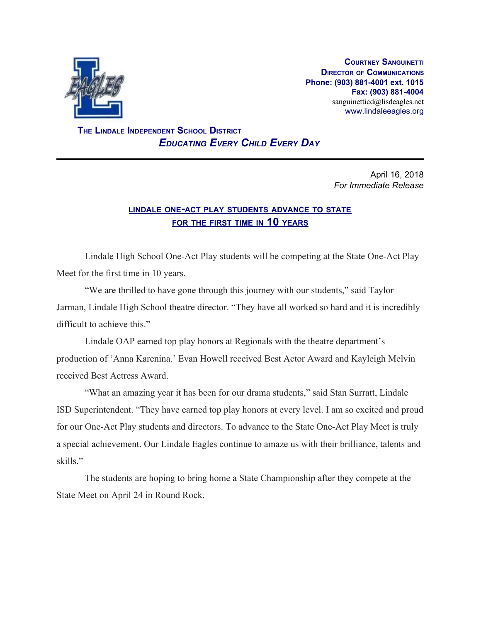

**COURTNEY SANGUINETTI DIRECTOR OF COMMUNICATIONS Phone: (903) 881-4001 ext. 1015 Fax: (903) 881-4004** sanguinetticd@lisdeagles.net www.lindaleeagles.org

 **THE LINDALE INDEPENDENT SCHOOL DISTRICT** *EDUCATING EVERY CHILD EVERY DAY*

> April 16, 2018 *For Immediate Release*

## **LINDALE ONE-ACT PLAY STUDENTS ADVANCE TO STATE FOR THE FIRST TIME IN 10 YEARS**

Lindale High School One-Act Play students will be competing at the State One-Act Play Meet for the first time in 10 years.

"We are thrilled to have gone through this journey with our students," said Taylor Jarman, Lindale High School theatre director. "They have all worked so hard and it is incredibly difficult to achieve this."

Lindale OAP earned top play honors at Regionals with the theatre department's production of 'Anna Karenina.' Evan Howell received Best Actor Award and Kayleigh Melvin received Best Actress Award.

"What an amazing year it has been for our drama students," said Stan Surratt, Lindale ISD Superintendent. "They have earned top play honors at every level. I am so excited and proud for our One-Act Play students and directors. To advance to the State One-Act Play Meet is truly a special achievement. Our Lindale Eagles continue to amaze us with their brilliance, talents and skills."

The students are hoping to bring home a State Championship after they compete at the State Meet on April 24 in Round Rock.